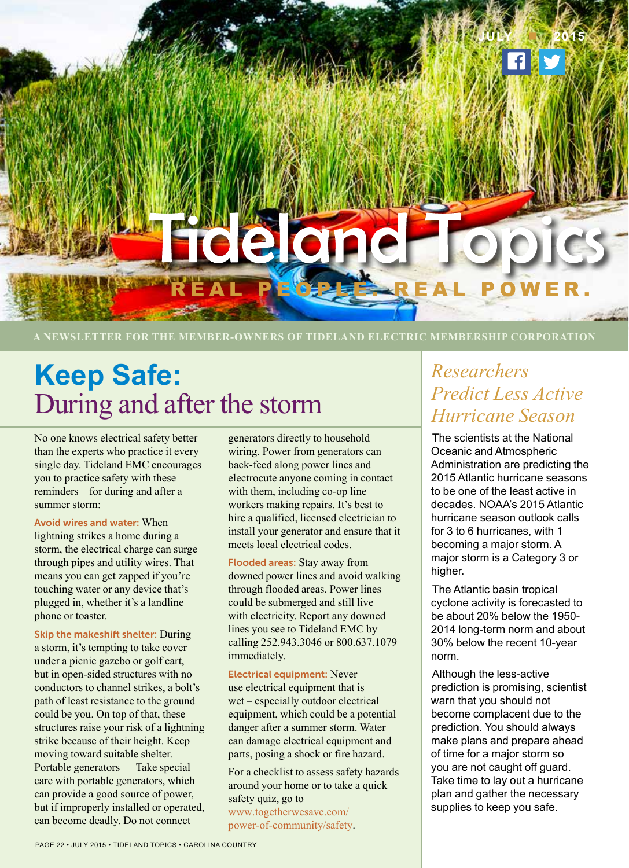

**A NEWSLETTER FOR THE MEMBER-OWNERS OF TIDELAND ELECTRIC MEMBERSHIP CORPORATION**

# **Keep Safe:** During and after the storm

No one knows electrical safety better than the experts who practice it every single day. Tideland EMC encourages you to practice safety with these reminders – for during and after a summer storm:

Avoid wires and water: When lightning strikes a home during a storm, the electrical charge can surge through pipes and utility wires. That means you can get zapped if you're touching water or any device that's plugged in, whether it's a landline phone or toaster.

Skip the makeshift shelter: During a storm, it's tempting to take cover under a picnic gazebo or golf cart, but in open-sided structures with no conductors to channel strikes, a bolt's path of least resistance to the ground could be you. On top of that, these structures raise your risk of a lightning strike because of their height. Keep moving toward suitable shelter. Portable generators — Take special care with portable generators, which can provide a good source of power, but if improperly installed or operated, can become deadly. Do not connect

generators directly to household wiring. Power from generators can back-feed along power lines and electrocute anyone coming in contact with them, including co-op line workers making repairs. It's best to hire a qualified, licensed electrician to install your generator and ensure that it meets local electrical codes.

Flooded areas: Stay away from downed power lines and avoid walking through flooded areas. Power lines could be submerged and still live with electricity. Report any downed lines you see to Tideland EMC by calling 252.943.3046 or 800.637.1079 immediately.

#### Electrical equipment: Never

use electrical equipment that is wet – especially outdoor electrical equipment, which could be a potential danger after a summer storm. Water can damage electrical equipment and parts, posing a shock or fire hazard.

For a checklist to assess safety hazards around your home or to take a quick safety quiz, go to www.togetherwesave.com/ power-of-community/safety.

## *Researchers Predict Less Active Hurricane Season*

The scientists at the National Oceanic and Atmospheric Administration are predicting the 2015 Atlantic hurricane seasons to be one of the least active in decades. NOAA's 2015 Atlantic hurricane season outlook calls for 3 to 6 hurricanes, with 1 becoming a major storm. A major storm is a Category 3 or higher.

The Atlantic basin tropical cyclone activity is forecasted to be about 20% below the 1950- 2014 long-term norm and about 30% below the recent 10-year norm.

Although the less-active prediction is promising, scientist warn that you should not become complacent due to the prediction. You should always make plans and prepare ahead of time for a major storm so you are not caught off guard. Take time to lay out a hurricane plan and gather the necessary supplies to keep you safe.